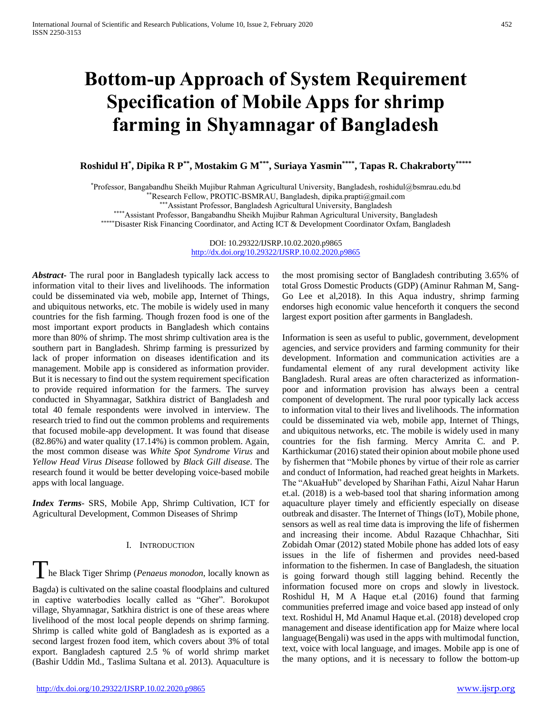# **Bottom-up Approach of System Requirement Specification of Mobile Apps for shrimp farming in Shyamnagar of Bangladesh**

**Roshidul H\* , Dipika R P\*\*, Mostakim G M\*\*\*, Suriaya Yasmin\*\*\*\* , Tapas R. Chakraborty\*\*\*\*\***

\*Professor, Bangabandhu Sheikh Mujibur Rahman Agricultural University, Bangladesh, roshidul@bsmrau.edu.bd

\*\*Research Fellow, PROTIC-BSMRAU, Bangladesh, dipika.prapti@gmail.com

\*\*\*Assistant Professor, Bangladesh Agricultural University, Bangladesh

\*\*\*\*Assistant Professor, Bangabandhu Sheikh Mujibur Rahman Agricultural University, Bangladesh

\*\*\*\*\*Disaster Risk Financing Coordinator, and Acting ICT & Development Coordinator Oxfam, Bangladesh

DOI: 10.29322/IJSRP.10.02.2020.p9865 <http://dx.doi.org/10.29322/IJSRP.10.02.2020.p9865>

*Abstract***-** The rural poor in Bangladesh typically lack access to information vital to their lives and livelihoods. The information could be disseminated via web, mobile app, Internet of Things, and ubiquitous networks, etc. The mobile is widely used in many countries for the fish farming. Though frozen food is one of the most important export products in Bangladesh which contains more than 80% of shrimp. The most shrimp cultivation area is the southern part in Bangladesh. Shrimp farming is pressurized by lack of proper information on diseases identification and its management. Mobile app is considered as information provider. But it is necessary to find out the system requirement specification to provide required information for the farmers. The survey conducted in Shyamnagar, Satkhira district of Bangladesh and total 40 female respondents were involved in interview. The research tried to find out the common problems and requirements that focused mobile-app development. It was found that disease (82.86%) and water quality (17.14%) is common problem. Again, the most common disease was *White Spot Syndrome Virus* and *Yellow Head Virus Disease* followed by *Black Gill disease*. The research found it would be better developing voice-based mobile apps with local language.

*Index Terms*- SRS, Mobile App, Shrimp Cultivation, ICT for Agricultural Development, Common Diseases of Shrimp

# I. INTRODUCTION

The Black Tiger Shrimp (*Penaeus monodon*, locally known as Bagda) is cultivated on the saline coastal floodplains and cultured

in captive waterbodies locally called as "Gher". Borokupot village, Shyamnagar, Satkhira district is one of these areas where livelihood of the most local people depends on shrimp farming. Shrimp is called white gold of Bangladesh as is exported as a second largest frozen food item, which covers about 3% of total export. Bangladesh captured 2.5 % of world shrimp market (Bashir Uddin Md., Taslima Sultana et al. 2013). Aquaculture is

the most promising sector of Bangladesh contributing 3.65% of total Gross Domestic Products (GDP) (Aminur Rahman M, Sang-Go Lee et al,2018). In this Aqua industry, shrimp farming endorses high economic value henceforth it conquers the second largest export position after garments in Bangladesh.

Information is seen as useful to public, government, development agencies, and service providers and farming community for their development. Information and communication activities are a fundamental element of any rural development activity like Bangladesh. Rural areas are often characterized as informationpoor and information provision has always been a central component of development. The rural poor typically lack access to information vital to their lives and livelihoods. The information could be disseminated via web, mobile app, Internet of Things, and ubiquitous networks, etc. The mobile is widely used in many countries for the fish farming. Mercy Amrita C. and P. Karthickumar (2016) stated their opinion about mobile phone used by fishermen that "Mobile phones by virtue of their role as carrier and conduct of Information, had reached great heights in Markets. The "AkuaHub" developed by Sharihan Fathi, Aizul Nahar Harun et.al. (2018) is a web-based tool that sharing information among aquaculture player timely and efficiently especially on disease outbreak and disaster. The Internet of Things (IoT), Mobile phone, sensors as well as real time data is improving the life of fishermen and increasing their income. Abdul Razaque Chhachhar, Siti Zobidah Omar (2012) stated Mobile phone has added lots of easy issues in the life of fishermen and provides need-based information to the fishermen. In case of Bangladesh, the situation is going forward though still lagging behind. Recently the information focused more on crops and slowly in livestock. Roshidul H, M A Haque et.al (2016) found that farming communities preferred image and voice based app instead of only text. Roshidul H, Md Anamul Haque et.al. (2018) developed crop management and disease identification app for Maize where local language(Bengali) was used in the apps with multimodal function, text, voice with local language, and images. Mobile app is one of the many options, and it is necessary to follow the bottom-up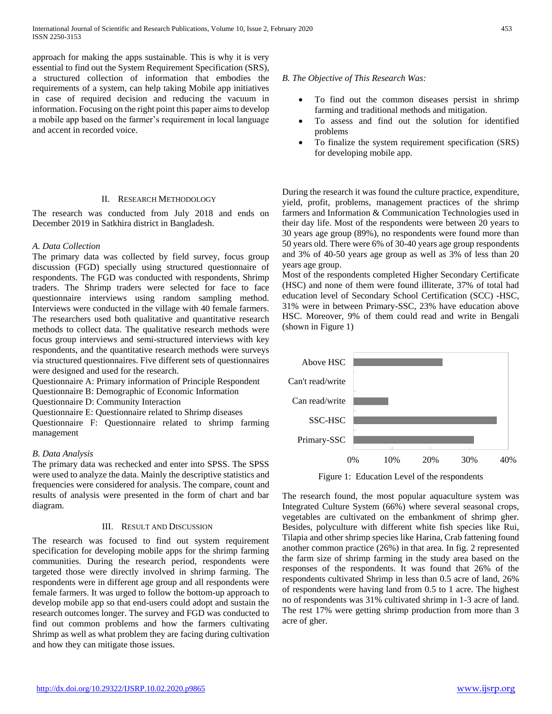approach for making the apps sustainable. This is why it is very essential to find out the System Requirement Specification (SRS), a structured collection of information that embodies the requirements of a system, can help taking Mobile app initiatives in case of required decision and reducing the vacuum in information. Focusing on the right point this paper aims to develop a mobile app based on the farmer's requirement in local language and accent in recorded voice.

## II. RESEARCH METHODOLOGY

The research was conducted from July 2018 and ends on December 2019 in Satkhira district in Bangladesh.

## *A. Data Collection*

The primary data was collected by field survey, focus group discussion (FGD) specially using structured questionnaire of respondents. The FGD was conducted with respondents, Shrimp traders. The Shrimp traders were selected for face to face questionnaire interviews using random sampling method. Interviews were conducted in the village with 40 female farmers. The researchers used both qualitative and quantitative research methods to collect data. The qualitative research methods were focus group interviews and semi-structured interviews with key respondents, and the quantitative research methods were surveys via structured questionnaires. Five different sets of questionnaires were designed and used for the research.

Questionnaire A: Primary information of Principle Respondent

Questionnaire B: Demographic of Economic Information

Questionnaire D: Community Interaction

Questionnaire E: Questionnaire related to Shrimp diseases

Questionnaire F: Questionnaire related to shrimp farming management

# *B. Data Analysis*

The primary data was rechecked and enter into SPSS. The SPSS were used to analyze the data. Mainly the descriptive statistics and frequencies were considered for analysis. The compare, count and results of analysis were presented in the form of chart and bar diagram.

#### III. RESULT AND DISCUSSION

The research was focused to find out system requirement specification for developing mobile apps for the shrimp farming communities. During the research period, respondents were targeted those were directly involved in shrimp farming. The respondents were in different age group and all respondents were female farmers. It was urged to follow the bottom-up approach to develop mobile app so that end-users could adopt and sustain the research outcomes longer. The survey and FGD was conducted to find out common problems and how the farmers cultivating Shrimp as well as what problem they are facing during cultivation and how they can mitigate those issues.

## *B. The Objective of This Research Was:*

- To find out the common diseases persist in shrimp farming and traditional methods and mitigation.
- To assess and find out the solution for identified problems
- To finalize the system requirement specification (SRS) for developing mobile app.

During the research it was found the culture practice, expenditure, yield, profit, problems, management practices of the shrimp farmers and Information & Communication Technologies used in their day life. Most of the respondents were between 20 years to 30 years age group (89%), no respondents were found more than 50 years old. There were 6% of 30-40 years age group respondents and 3% of 40-50 years age group as well as 3% of less than 20 years age group.

Most of the respondents completed Higher Secondary Certificate (HSC) and none of them were found illiterate, 37% of total had education level of Secondary School Certification (SCC) -HSC, 31% were in between Primary-SSC, 23% have education above HSC. Moreover, 9% of them could read and write in Bengali (shown in Figure 1)



Figure 1: Education Level of the respondents

The research found, the most popular aquaculture system was Integrated Culture System (66%) where several seasonal crops, vegetables are cultivated on the embankment of shrimp gher. Besides, polyculture with different white fish species like Rui, Tilapia and other shrimp species like Harina, Crab fattening found another common practice (26%) in that area. In fig. 2 represented the farm size of shrimp farming in the study area based on the responses of the respondents. It was found that 26% of the respondents cultivated Shrimp in less than 0.5 acre of land, 26% of respondents were having land from 0.5 to 1 acre. The highest no of respondents was 31% cultivated shrimp in 1-3 acre of land. The rest 17% were getting shrimp production from more than 3 acre of gher.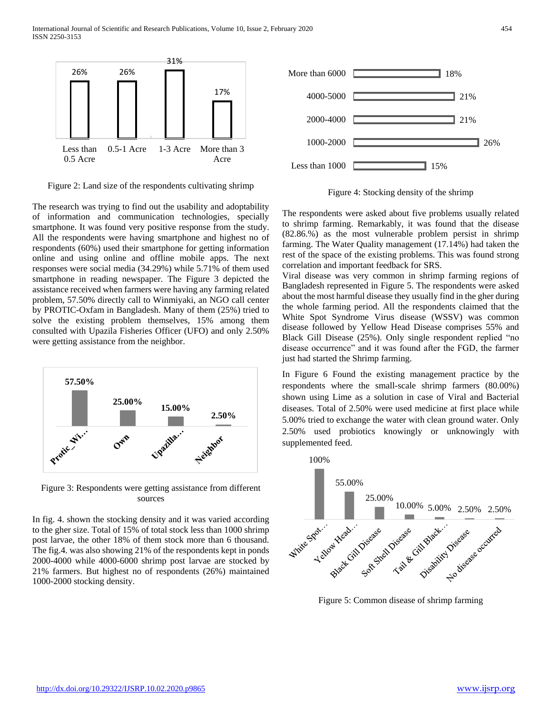

Figure 2: Land size of the respondents cultivating shrimp

The research was trying to find out the usability and adoptability of information and communication technologies, specially smartphone. It was found very positive response from the study. All the respondents were having smartphone and highest no of respondents (60%) used their smartphone for getting information online and using online and offline mobile apps. The next responses were social media (34.29%) while 5.71% of them used smartphone in reading newspaper. The Figure 3 depicted the assistance received when farmers were having any farming related problem, 57.50% directly call to Winmiyaki, an NGO call center by PROTIC-Oxfam in Bangladesh. Many of them (25%) tried to solve the existing problem themselves, 15% among them consulted with Upazila Fisheries Officer (UFO) and only 2.50% were getting assistance from the neighbor.



Figure 3: Respondents were getting assistance from different sources

In fig. 4. shown the stocking density and it was varied according to the gher size. Total of 15% of total stock less than 1000 shrimp post larvae, the other 18% of them stock more than 6 thousand. The fig.4. was also showing 21% of the respondents kept in ponds 2000-4000 while 4000-6000 shrimp post larvae are stocked by 21% farmers. But highest no of respondents (26%) maintained 1000-2000 stocking density.



Figure 4: Stocking density of the shrimp

The respondents were asked about five problems usually related to shrimp farming. Remarkably, it was found that the disease (82.86.%) as the most vulnerable problem persist in shrimp farming. The Water Quality management (17.14%) had taken the rest of the space of the existing problems. This was found strong correlation and important feedback for SRS.

Viral disease was very common in shrimp farming regions of Bangladesh represented in Figure 5. The respondents were asked about the most harmful disease they usually find in the gher during the whole farming period. All the respondents claimed that the White Spot Syndrome Virus disease (WSSV) was common disease followed by Yellow Head Disease comprises 55% and Black Gill Disease (25%). Only single respondent replied "no disease occurrence" and it was found after the FGD, the farmer just had started the Shrimp farming.

In Figure 6 Found the existing management practice by the respondents where the small-scale shrimp farmers (80.00%) shown using Lime as a solution in case of Viral and Bacterial diseases. Total of 2.50% were used medicine at first place while 5.00% tried to exchange the water with clean ground water. Only 2.50% used probiotics knowingly or unknowingly with supplemented feed.

100%



Figure 5: Common disease of shrimp farming